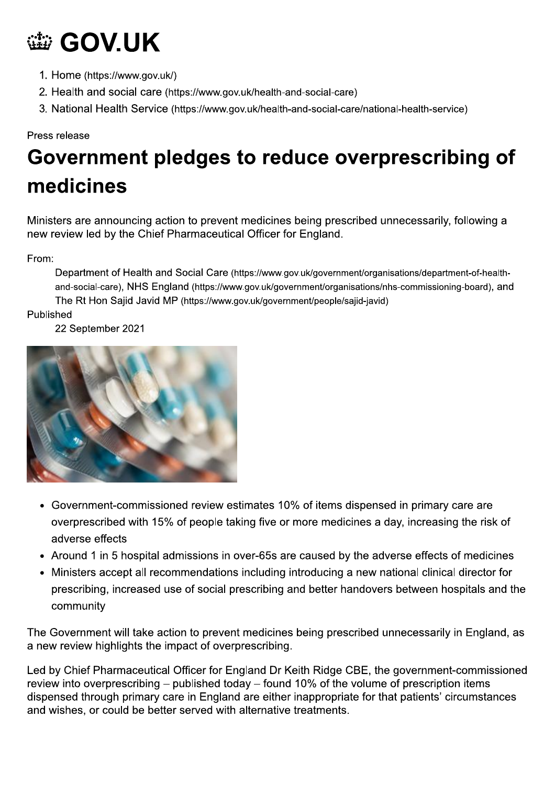# **@ GOV.UK**

- 1. Home (https://www.gov.uk/)
- 2. Health and social care (https://www.gov.uk/health-and-social-care)
- 3. National Health Service (https://www.gov.uk/health-and-social-care/national-health-service)

#### Press release

## Government pledges to reduce overprescribing of medicines

Ministers are announcing action to prevent medicines being prescribed unnecessarily, following a new review led by the Chief Pharmaceutical Officer for England.

From:

Department of Health and Social Care (https://www.gov.uk/government/organisations/department-of-healthand-social-care), NHS England (https://www.gov.uk/government/organisations/nhs-commissioning-board), and The Rt Hon Sajid Javid MP (https://www.gov.uk/government/people/sajid-javid)

Published

22 September 2021



- Government-commissioned review estimates 10% of items dispensed in primary care are overprescribed with 15% of people taking five or more medicines a day, increasing the risk of adverse effects
- Around 1 in 5 hospital admissions in over-65s are caused by the adverse effects of medicines
- Ministers accept all recommendations including introducing a new national clinical director for prescribing, increased use of social prescribing and better handovers between hospitals and the community

The Government will take action to prevent medicines being prescribed unnecessarily in England, as a new review highlights the impact of overprescribing.

Led by Chief Pharmaceutical Officer for England Dr Keith Ridge CBE, the government-commissioned review into overprescribing – published today – found 10% of the volume of prescription items dispensed through primary care in England are either inappropriate for that patients' circumstances and wishes, or could be better served with alternative treatments.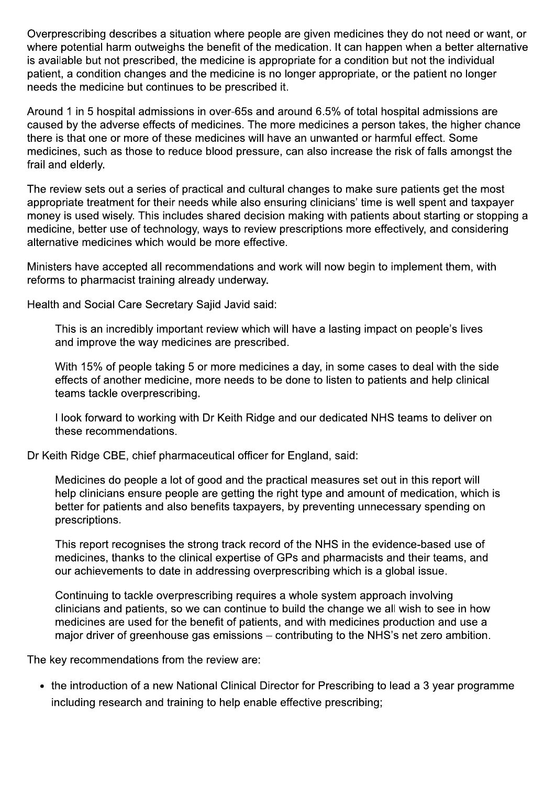Overprescribing describes a situation where people are given medicines they do not need or want, or where potential harm outweighs the benefit of the medication. It can happen when a better alternative is available but not prescribed, the medicine is appropriate for a condition but not the individual patient, a condition changes and the medicine is no longer appropriate, or the patient no longer needs the medicine but continues to be prescribed it.

Around 1 in 5 hospital admissions in over-65s and around 6.5% of total hospital admissions are caused by the adverse effects of medicines. The more medicines a person takes, the higher chance there is that one or more of these medicines will have an unwanted or harmful effect. Some medicines, such as those to reduce blood pressure, can also increase the risk of falls amongst the frail and elderly.

The review sets out a series of practical and cultural changes to make sure patients get the most appropriate treatment for their needs while also ensuring clinicians' time is well spent and taxpayer money is used wisely. This includes shared decision making with patients about starting or stopping a medicine, better use of technology, ways to review prescriptions more effectively, and considering alternative medicines which would be more effective.

Ministers have accepted all recommendations and work will now begin to implement them, with reforms to pharmacist training already underway.

Health and Social Care Secretary Sajid Javid said:

This is an incredibly important review which will have a lasting impact on people's lives and improve the way medicines are prescribed.

With 15% of people taking 5 or more medicines a day, in some cases to deal with the side effects of another medicine, more needs to be done to listen to patients and help clinical teams tackle overprescribing.

I look forward to working with Dr Keith Ridge and our dedicated NHS teams to deliver on these recommendations.

Dr Keith Ridge CBE, chief pharmaceutical officer for England, said:

Medicines do people a lot of good and the practical measures set out in this report will help clinicians ensure people are getting the right type and amount of medication, which is better for patients and also benefits taxpayers, by preventing unnecessary spending on prescriptions.

This report recognises the strong track record of the NHS in the evidence-based use of medicines, thanks to the clinical expertise of GPs and pharmacists and their teams, and our achievements to date in addressing overprescribing which is a global issue.

Continuing to tackle overprescribing requires a whole system approach involving clinicians and patients, so we can continue to build the change we all wish to see in how medicines are used for the benefit of patients, and with medicines production and use a major driver of greenhouse gas emissions – contributing to the NHS's net zero ambition.

The key recommendations from the review are:

• the introduction of a new National Clinical Director for Prescribing to lead a 3 year programme including research and training to help enable effective prescribing;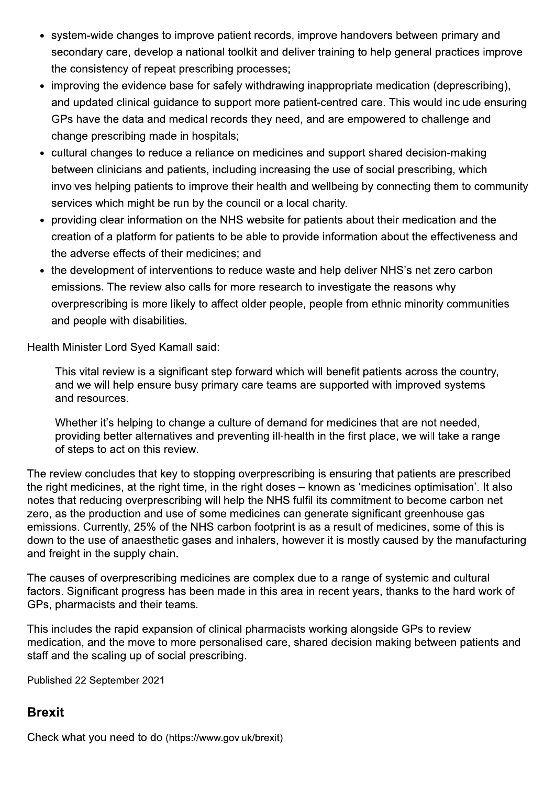- system-wide changes to improve patient records, improve handovers between primary and secondary care, develop a national toolkit and deliver training to help general practices improve the consistency of repeat prescribing processes;
- improving the evidence base for safely withdrawing inappropriate medication (deprescribing), and updated clinical quidance to support more patient-centred care. This would include ensuring GPs have the data and medical records they need, and are empowered to challenge and change prescribing made in hospitals;
- cultural changes to reduce a reliance on medicines and support shared decision-making between clinicians and patients, including increasing the use of social prescribing, which involves helping patients to improve their health and wellbeing by connecting them to community services which might be run by the council or a local charity.
- providing clear information on the NHS website for patients about their medication and the creation of a platform for patients to be able to provide information about the effectiveness and the adverse effects of their medicines: and
- the development of interventions to reduce waste and help deliver NHS's net zero carbon emissions. The review also calls for more research to investigate the reasons why overprescribing is more likely to affect older people, people from ethnic minority communities and people with disabilities.

Health Minister Lord Syed Kamall said:

This vital review is a significant step forward which will benefit patients across the country, and we will help ensure busy primary care teams are supported with improved systems and resources.

Whether it's helping to change a culture of demand for medicines that are not needed, providing better alternatives and preventing ill-health in the first place, we will take a range of steps to act on this review.

The review concludes that key to stopping overprescribing is ensuring that patients are prescribed the right medicines, at the right time, in the right doses – known as 'medicines optimisation'. It also notes that reducing overprescribing will help the NHS fulfil its commitment to become carbon net zero, as the production and use of some medicines can generate significant greenhouse gas emissions. Currently, 25% of the NHS carbon footprint is as a result of medicines, some of this is down to the use of anaesthetic gases and inhalers, however it is mostly caused by the manufacturing and freight in the supply chain.

The causes of overprescribing medicines are complex due to a range of systemic and cultural factors. Significant progress has been made in this area in recent years, thanks to the hard work of GPs, pharmacists and their teams.

This includes the rapid expansion of clinical pharmacists working alongside GPs to review medication, and the move to more personalised care, shared decision making between patients and staff and the scaling up of social prescribing.

Published 22 September 2021

#### **Brexit**

Check what you need to do (https://www.gov.uk/brexit)